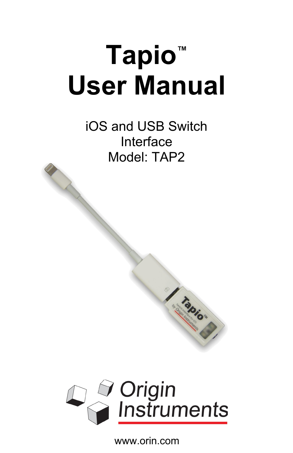# **Tapio™ User Manual**

iOS and USB Switch Interface Model: TAP2

All Construction of the Construction



I tabios

www.orin.com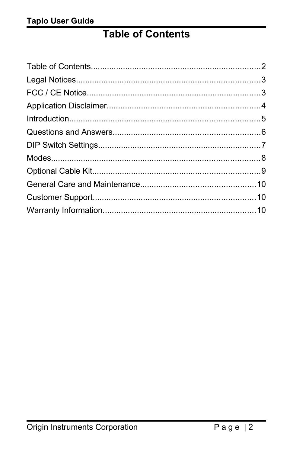## <span id="page-1-0"></span>**Table of Contents**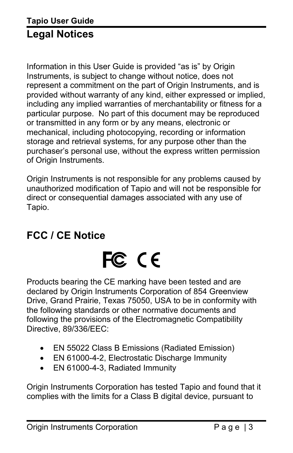<span id="page-2-1"></span>Information in this User Guide is provided "as is" by Origin Instruments, is subject to change without notice, does not represent a commitment on the part of Origin Instruments, and is provided without warranty of any kind, either expressed or implied, including any implied warranties of merchantability or fitness for a particular purpose. No part of this document may be reproduced or transmitted in any form or by any means, electronic or mechanical, including photocopying, recording or information storage and retrieval systems, for any purpose other than the purchaser's personal use, without the express written permission of Origin Instruments.

Origin Instruments is not responsible for any problems caused by unauthorized modification of Tapio and will not be responsible for direct or consequential damages associated with any use of Tapio.

## <span id="page-2-0"></span>**FCC / CE Notice**

## FC CE

Products bearing the CE marking have been tested and are declared by Origin Instruments Corporation of 854 Greenview Drive, Grand Prairie, Texas 75050, USA to be in conformity with the following standards or other normative documents and following the provisions of the Electromagnetic Compatibility Directive, 89/336/EEC:

- EN 55022 Class B Emissions (Radiated Emission)
- EN 61000-4-2, Electrostatic Discharge Immunity
- EN 61000-4-3, Radiated Immunity

Origin Instruments Corporation has tested Tapio and found that it complies with the limits for a Class B digital device, pursuant to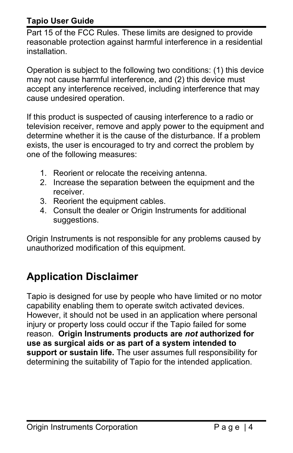#### **Tapio User Guide**

Part 15 of the FCC Rules. These limits are designed to provide reasonable protection against harmful interference in a residential installation.

Operation is subject to the following two conditions: (1) this device may not cause harmful interference, and (2) this device must accept any interference received, including interference that may cause undesired operation.

If this product is suspected of causing interference to a radio or television receiver, remove and apply power to the equipment and determine whether it is the cause of the disturbance. If a problem exists, the user is encouraged to try and correct the problem by one of the following measures:

- 1. Reorient or relocate the receiving antenna.
- 2. Increase the separation between the equipment and the receiver.
- 3. Reorient the equipment cables.
- 4. Consult the dealer or Origin Instruments for additional suggestions.

Origin Instruments is not responsible for any problems caused by unauthorized modification of this equipment.

## <span id="page-3-0"></span>**Application Disclaimer**

Tapio is designed for use by people who have limited or no motor capability enabling them to operate switch activated devices. However, it should not be used in an application where personal injury or property loss could occur if the Tapio failed for some reason. **Origin Instruments products are** *not* **authorized for use as surgical aids or as part of a system intended to support or sustain life.** The user assumes full responsibility for determining the suitability of Tapio for the intended application.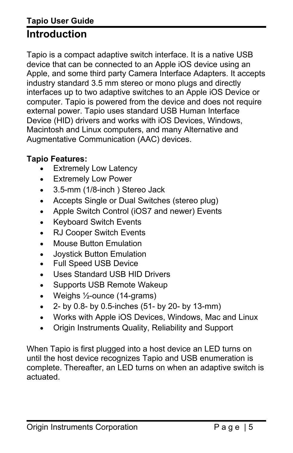## <span id="page-4-0"></span>**Tapio User Guide Introduction**

Tapio is a compact adaptive switch interface. It is a native USB device that can be connected to an Apple iOS device using an Apple, and some third party Camera Interface Adapters. It accepts industry standard 3.5 mm stereo or mono plugs and directly interfaces up to two adaptive switches to an Apple iOS Device or computer. Tapio is powered from the device and does not require external power. Tapio uses standard USB Human Interface Device (HID) drivers and works with iOS Devices, Windows, Macintosh and Linux computers, and many Alternative and Augmentative Communication (AAC) devices.

#### **Tapio Features:**

- Extremely Low Latency
- Extremely Low Power
- 3.5-mm (1/8-inch ) Stereo Jack
- Accepts Single or Dual Switches (stereo plug)
- Apple Switch Control (iOS7 and newer) Events
- Keyboard Switch Events
- RJ Cooper Switch Events
- Mouse Button Emulation
- Joystick Button Emulation
- Full Speed USB Device
- Uses Standard USB HID Drivers
- Supports USB Remote Wakeup
- Weighs  $\frac{1}{2}$ -ounce (14-grams)
- $\bullet$  2- by 0.8- by 0.5-inches (51- by 20- by 13-mm)
- Works with Apple iOS Devices, Windows, Mac and Linux
- Origin Instruments Quality, Reliability and Support

When Tapio is first plugged into a host device an LED turns on until the host device recognizes Tapio and USB enumeration is complete. Thereafter, an LED turns on when an adaptive switch is actuated.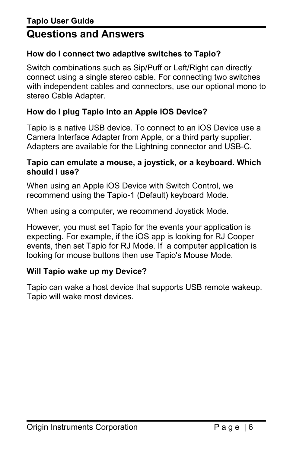#### <span id="page-5-0"></span>**How do I connect two adaptive switches to Tapio?**

Switch combinations such as Sip/Puff or Left/Right can directly connect using a single stereo cable. For connecting two switches with independent cables and connectors, use our optional mono to stereo Cable Adapter.

#### **How do I plug Tapio into an Apple iOS Device?**

Tapio is a native USB device. To connect to an iOS Device use a Camera Interface Adapter from Apple, or a third party supplier. Adapters are available for the Lightning connector and USB-C.

#### **Tapio can emulate a mouse, a joystick, or a keyboard. Which should I use?**

When using an Apple iOS Device with Switch Control, we recommend using the Tapio-1 (Default) keyboard Mode.

When using a computer, we recommend Joystick Mode.

However, you must set Tapio for the events your application is expecting. For example, if the iOS app is looking for RJ Cooper events, then set Tapio for RJ Mode. If a computer application is looking for mouse buttons then use Tapio's Mouse Mode.

#### **Will Tapio wake up my Device?**

Tapio can wake a host device that supports USB remote wakeup. Tapio will wake most devices.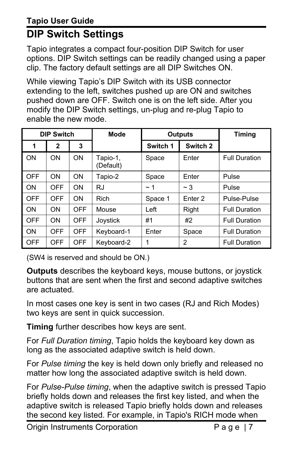## <span id="page-6-0"></span>**DIP Switch Settings**

Tapio integrates a compact four-position DIP Switch for user options. DIP Switch settings can be readily changed using a paper clip. The factory default settings are all DIP Switches ON.

While viewing Tapio's DIP Switch with its USB connector extending to the left, switches pushed up are ON and switches pushed down are OFF. Switch one is on the left side. After you modify the DIP Switch settings, un-plug and re-plug Tapio to enable the new mode.

| <b>DIP Switch</b> |              | <b>Mode</b> | <b>Outputs</b>        |          | <b>Timing</b>      |                      |
|-------------------|--------------|-------------|-----------------------|----------|--------------------|----------------------|
| 1                 | $\mathbf{2}$ | 3           |                       | Switch 1 | Switch 2           |                      |
| ON                | <b>ON</b>    | <b>ON</b>   | Tapio-1,<br>(Default) | Space    | <b>F</b> nter      | <b>Full Duration</b> |
| <b>OFF</b>        | ON           | ON.         | Tapio-2               | Space    | Enter              | Pulse                |
| ON                | <b>OFF</b>   | OΝ          | <b>RJ</b>             | $\sim$ 1 | $~\sim$ 3          | Pulse                |
| <b>OFF</b>        | <b>OFF</b>   | <b>ON</b>   | Rich                  | Space 1  | Enter <sub>2</sub> | Pulse-Pulse          |
| ON                | ON           | OFF         | Mouse                 | Left     | Right              | <b>Full Duration</b> |
| <b>OFF</b>        | ON           | <b>OFF</b>  | Joystick              | #1       | #2                 | <b>Full Duration</b> |
| ON                | <b>OFF</b>   | <b>OFF</b>  | Keyboard-1            | Enter    | Space              | <b>Full Duration</b> |
| <b>OFF</b>        | <b>OFF</b>   | <b>OFF</b>  | Keyboard-2            | 1        | 2                  | <b>Full Duration</b> |

(SW4 is reserved and should be ON.)

**Outputs** describes the keyboard keys, mouse buttons, or joystick buttons that are sent when the first and second adaptive switches are actuated.

In most cases one key is sent in two cases (RJ and Rich Modes) two keys are sent in quick succession.

**Timing** further describes how keys are sent.

For *Full Duration timing*, Tapio holds the keyboard key down as long as the associated adaptive switch is held down.

For *Pulse timing* the key is held down only briefly and released no matter how long the associated adaptive switch is held down.

For *Pulse-Pulse timing*, when the adaptive switch is pressed Tapio briefly holds down and releases the first key listed, and when the adaptive switch is released Tapio briefly holds down and releases the second key listed. For example, in Tapio's RICH mode when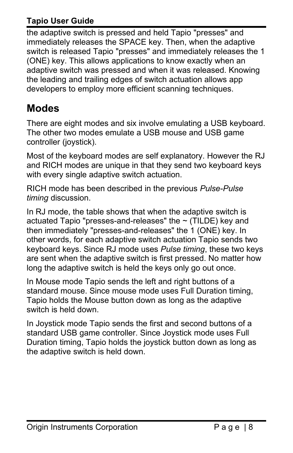#### **Tapio User Guide**

the adaptive switch is pressed and held Tapio "presses" and immediately releases the SPACE key. Then, when the adaptive switch is released Tapio "presses" and immediately releases the 1 (ONE) key. This allows applications to know exactly when an adaptive switch was pressed and when it was released. Knowing the leading and trailing edges of switch actuation allows app developers to employ more efficient scanning techniques.

## <span id="page-7-0"></span>**Modes**

There are eight modes and six involve emulating a USB keyboard. The other two modes emulate a USB mouse and USB game controller (joystick).

Most of the keyboard modes are self explanatory. However the RJ and RICH modes are unique in that they send two keyboard keys with every single adaptive switch actuation.

RICH mode has been described in the previous *Pulse-Pulse timing* discussion.

In RJ mode, the table shows that when the adaptive switch is actuated Tapio "presses-and-releases" the  $\sim$  (TILDE) key and then immediately "presses-and-releases" the 1 (ONE) key. In other words, for each adaptive switch actuation Tapio sends two keyboard keys. Since RJ mode uses *Pulse timing*, these two keys are sent when the adaptive switch is first pressed. No matter how long the adaptive switch is held the keys only go out once.

In Mouse mode Tapio sends the left and right buttons of a standard mouse. Since mouse mode uses Full Duration timing, Tapio holds the Mouse button down as long as the adaptive switch is held down.

In Joystick mode Tapio sends the first and second buttons of a standard USB game controller. Since Joystick mode uses Full Duration timing, Tapio holds the joystick button down as long as the adaptive switch is held down.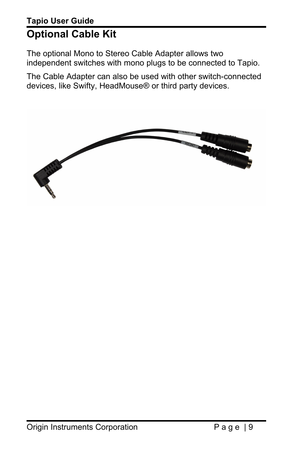## <span id="page-8-0"></span>**Tapio User Guide Optional Cable Kit**

The optional Mono to Stereo Cable Adapter allows two independent switches with mono plugs to be connected to Tapio.

The Cable Adapter can also be used with other switch-connected devices, like Swifty, HeadMouse® or third party devices.

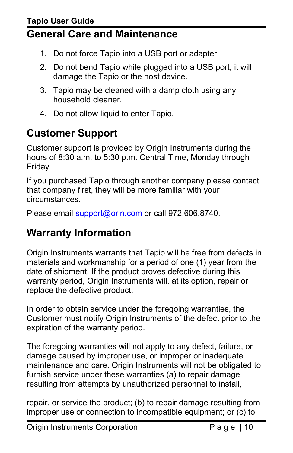## <span id="page-9-2"></span>**General Care and Maintenance**

- 1. Do not force Tapio into a USB port or adapter.
- 2. Do not bend Tapio while plugged into a USB port, it will damage the Tapio or the host device.
- 3. Tapio may be cleaned with a damp cloth using any household cleaner.
- 4. Do not allow liquid to enter Tapio.

## <span id="page-9-1"></span>**Customer Support**

Customer support is provided by Origin Instruments during the hours of 8:30 a.m. to 5:30 p.m. Central Time, Monday through Friday.

If you purchased Tapio through another company please contact that company first, they will be more familiar with your circumstances.

Please email [support@orin.com](mailto:support@orin.com) or call 972.606.8740.

## <span id="page-9-0"></span>**Warranty Information**

Origin Instruments warrants that Tapio will be free from defects in materials and workmanship for a period of one (1) year from the date of shipment. If the product proves defective during this warranty period, Origin Instruments will, at its option, repair or replace the defective product.

In order to obtain service under the foregoing warranties, the Customer must notify Origin Instruments of the defect prior to the expiration of the warranty period.

The foregoing warranties will not apply to any defect, failure, or damage caused by improper use, or improper or inadequate maintenance and care. Origin Instruments will not be obligated to furnish service under these warranties (a) to repair damage resulting from attempts by unauthorized personnel to install,

repair, or service the product; (b) to repair damage resulting from improper use or connection to incompatible equipment; or (c) to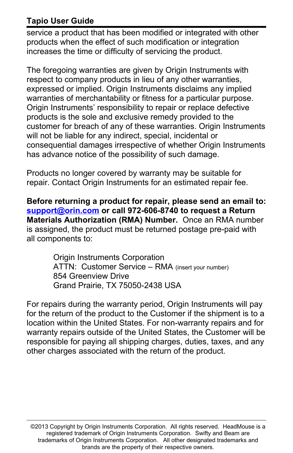#### **Tapio User Guide**

service a product that has been modified or integrated with other products when the effect of such modification or integration increases the time or difficulty of servicing the product.

The foregoing warranties are given by Origin Instruments with respect to company products in lieu of any other warranties, expressed or implied. Origin Instruments disclaims any implied warranties of merchantability or fitness for a particular purpose. Origin Instruments' responsibility to repair or replace defective products is the sole and exclusive remedy provided to the customer for breach of any of these warranties. Origin Instruments will not be liable for any indirect, special, incidental or consequential damages irrespective of whether Origin Instruments has advance notice of the possibility of such damage.

Products no longer covered by warranty may be suitable for repair. Contact Origin Instruments for an estimated repair fee.

**Before returning a product for repair, please send an email to: [support@orin.com](mailto:support@orin.com) or call 972-606-8740 to request a Return Materials Authorization (RMA) Number.** Once an RMA number is assigned, the product must be returned postage pre-paid with all components to:

> Origin Instruments Corporation ATTN: Customer Service – RMA (insert your number) 854 Greenview Drive Grand Prairie, TX 75050-2438 USA

For repairs during the warranty period, Origin Instruments will pay for the return of the product to the Customer if the shipment is to a location within the United States. For non-warranty repairs and for warranty repairs outside of the United States, the Customer will be responsible for paying all shipping charges, duties, taxes, and any other charges associated with the return of the product.

©2013 Copyright by Origin Instruments Corporation. All rights reserved. HeadMouse is a registered trademark of Origin Instruments Corporation. Swifty and Beam are trademarks of Origin Instruments Corporation. All other designated trademarks and brands are the property of their respective owners.